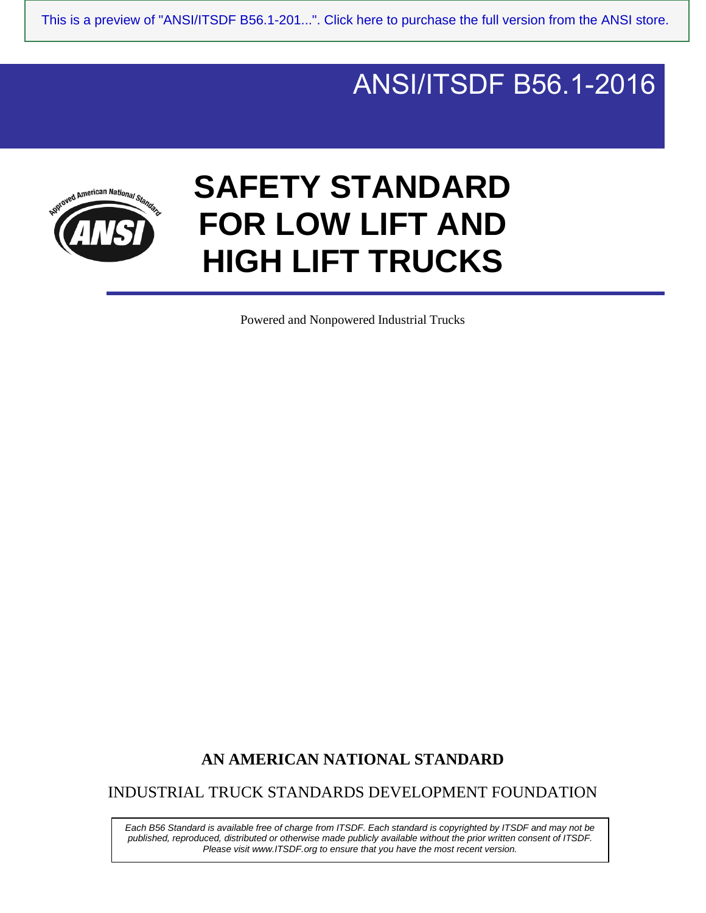## $\overline{\phantom{a}}$ ANSI/ITSDF B56.1-2016



# **SAFETY STANDARD FOR LOW LIFT AND HIGH LIFT TRUCKS**

Powered and Nonpowered Industrial Trucks

## **AN AMERICAN NATIONAL STANDARD**

INDUSTRIAL TRUCK STANDARDS DEVELOPMENT FOUNDATION

*Each B56 Standard is available free of charge from ITSDF. Each standard is copyrighted by ITSDF and may not be published, reproduced, distributed or otherwise made publicly available without the prior written consent of ITSDF. Please visit www.ITSDF.org to ensure that you have the most recent version.*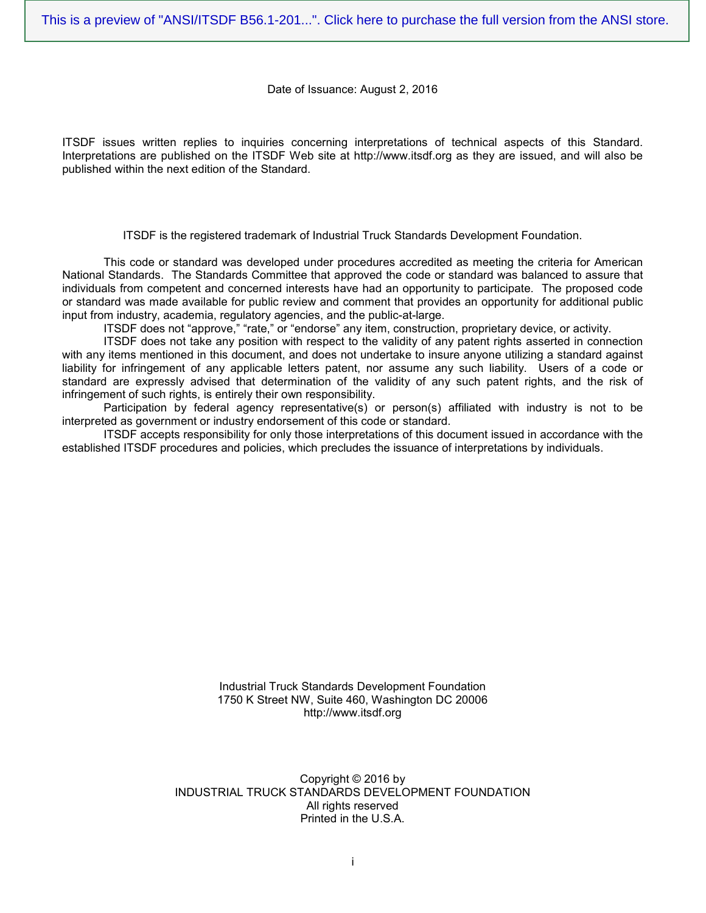#### Date of Issuance: August 2, 2016

ITSDF issues written replies to inquiries concerning interpretations of technical aspects of this Standard. Interpretations are published on the ITSDF Web site at http://www.itsdf.org as they are issued, and will also be published within the next edition of the Standard.

ITSDF is the registered trademark of Industrial Truck Standards Development Foundation.

This code or standard was developed under procedures accredited as meeting the criteria for American National Standards. The Standards Committee that approved the code or standard was balanced to assure that individuals from competent and concerned interests have had an opportunity to participate. The proposed code or standard was made available for public review and comment that provides an opportunity for additional public input from industry, academia, regulatory agencies, and the public-at-large.

ITSDF does not "approve," "rate," or "endorse" any item, construction, proprietary device, or activity.

ITSDF does not take any position with respect to the validity of any patent rights asserted in connection with any items mentioned in this document, and does not undertake to insure anyone utilizing a standard against liability for infringement of any applicable letters patent, nor assume any such liability. Users of a code or standard are expressly advised that determination of the validity of any such patent rights, and the risk of infringement of such rights, is entirely their own responsibility.

Participation by federal agency representative(s) or person(s) affiliated with industry is not to be interpreted as government or industry endorsement of this code or standard.

ITSDF accepts responsibility for only those interpretations of this document issued in accordance with the established ITSDF procedures and policies, which precludes the issuance of interpretations by individuals.

> Industrial Truck Standards Development Foundation 1750 K Street NW, Suite 460, Washington DC 20006 http://www.itsdf.org

Copyright © 2016 by INDUSTRIAL TRUCK STANDARDS DEVELOPMENT FOUNDATION All rights reserved Printed in the U.S.A.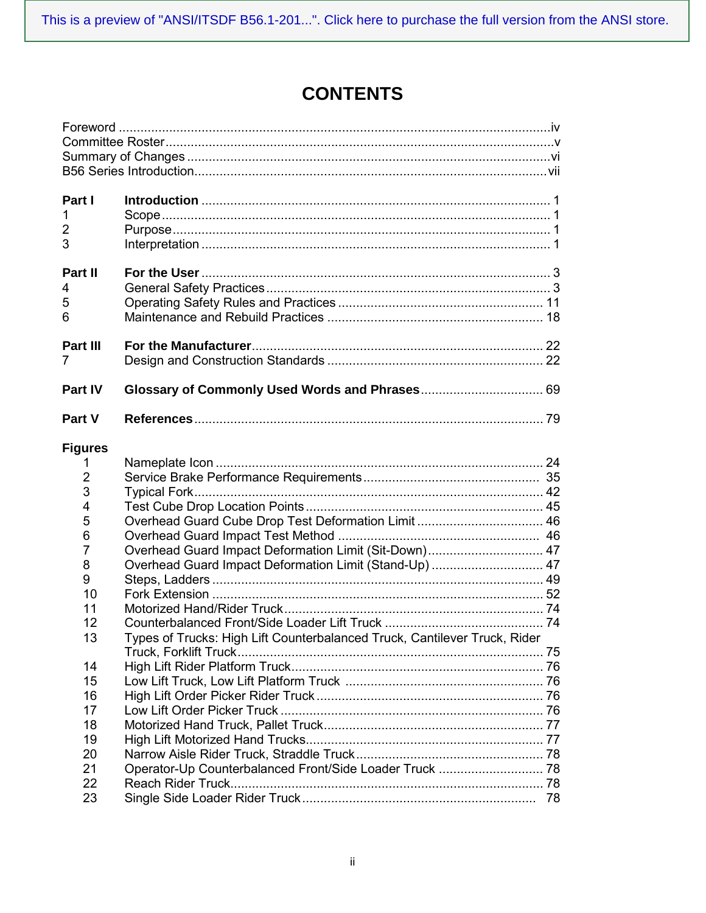# **CONTENTS**

| Part I         |                                                                           |    |
|----------------|---------------------------------------------------------------------------|----|
| $\mathbf 1$    |                                                                           |    |
| 2              |                                                                           |    |
| 3              |                                                                           |    |
| Part II        |                                                                           |    |
| 4              |                                                                           |    |
| 5              |                                                                           |    |
| 6              |                                                                           |    |
| Part III       |                                                                           |    |
| 7              |                                                                           |    |
| <b>Part IV</b> |                                                                           |    |
| Part V         |                                                                           |    |
| <b>Figures</b> |                                                                           |    |
| 1              |                                                                           |    |
| $\overline{2}$ |                                                                           |    |
| 3              |                                                                           |    |
| 4              |                                                                           |    |
| 5              |                                                                           |    |
| 6              |                                                                           |    |
| $\overline{7}$ | Overhead Guard Impact Deformation Limit (Sit-Down) 47                     |    |
| 8              | Overhead Guard Impact Deformation Limit (Stand-Up)  47                    |    |
| 9              |                                                                           |    |
| 10             |                                                                           |    |
| 11             |                                                                           |    |
| 12             |                                                                           |    |
| 13             | Types of Trucks: High Lift Counterbalanced Truck, Cantilever Truck, Rider |    |
| 14             |                                                                           |    |
| 15             |                                                                           |    |
| 16             |                                                                           |    |
| 17             |                                                                           |    |
| 18             |                                                                           |    |
| 19             |                                                                           |    |
| 20             |                                                                           |    |
| 21             |                                                                           |    |
| 22             |                                                                           |    |
| 23             |                                                                           | 78 |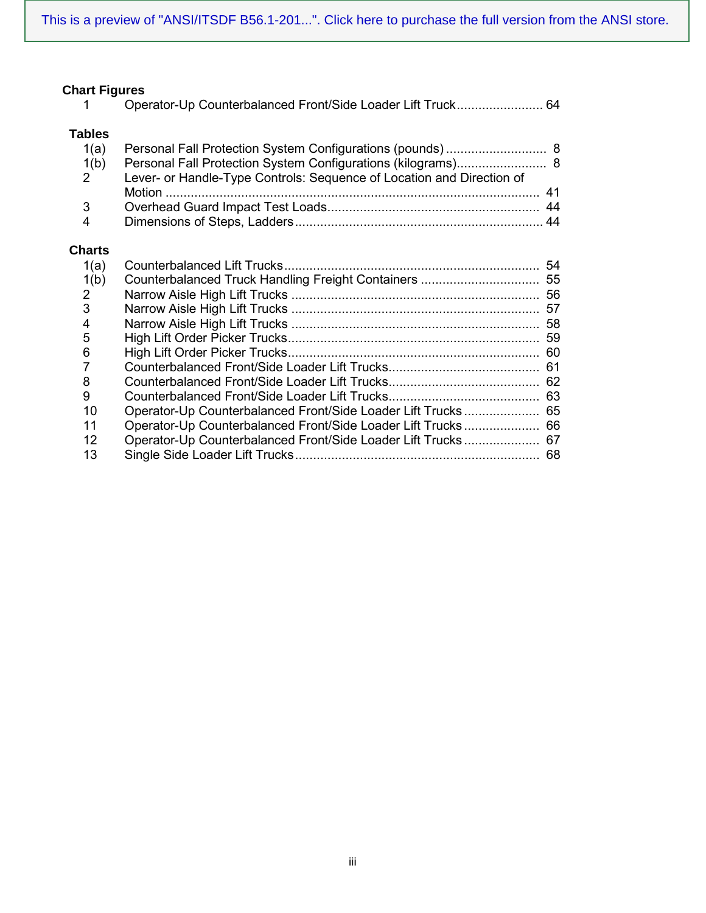# **Chart Figures**<br>1 Ope

### **Tables**

| 1(a)           |                                                                       |  |
|----------------|-----------------------------------------------------------------------|--|
| 1(b)           | Personal Fall Protection System Configurations (kilograms) 8          |  |
| 2              | Lever- or Handle-Type Controls: Sequence of Location and Direction of |  |
|                |                                                                       |  |
| $\mathbf{3}$   |                                                                       |  |
| $\overline{4}$ |                                                                       |  |

### **Charts**

| 1(a)        |                                                              | 54 |
|-------------|--------------------------------------------------------------|----|
| 1(b)        |                                                              |    |
| $2^{\circ}$ |                                                              | 56 |
| 3           |                                                              |    |
| 4           |                                                              | 58 |
| 5           |                                                              |    |
| 6           |                                                              |    |
| 7           |                                                              |    |
| 8           |                                                              |    |
| 9           |                                                              |    |
| 10          |                                                              |    |
| 11          | Operator-Up Counterbalanced Front/Side Loader Lift Trucks 66 |    |
| 12          | Operator-Up Counterbalanced Front/Side Loader Lift Trucks 67 |    |
| 13          |                                                              |    |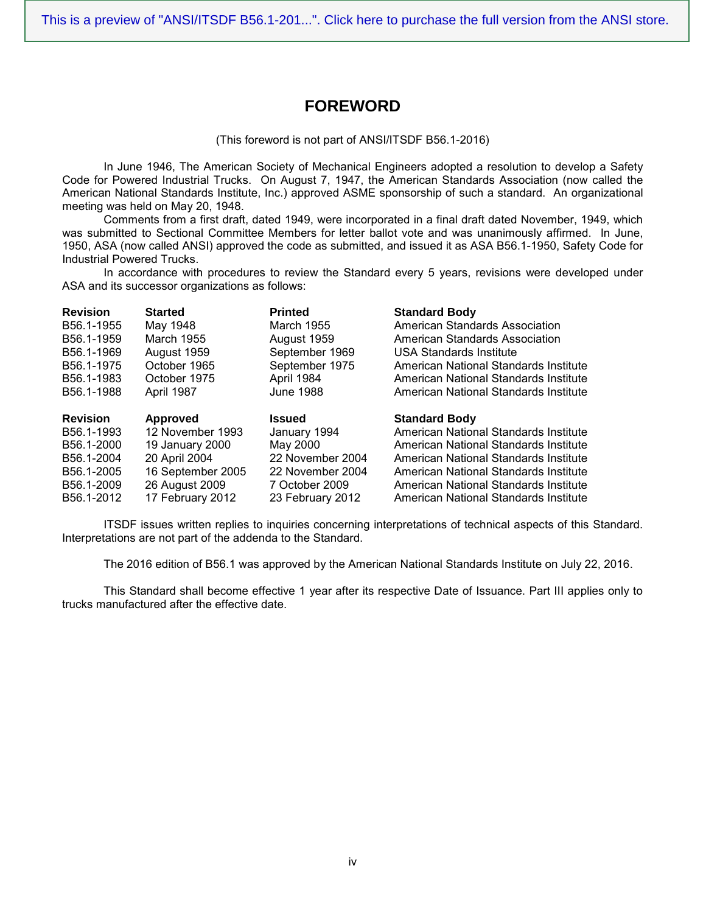## **FOREWORD**

(This foreword is not part of ANSI/ITSDF B56.1-2016)

In June 1946, The American Society of Mechanical Engineers adopted a resolution to develop a Safety Code for Powered Industrial Trucks. On August 7, 1947, the American Standards Association (now called the American National Standards Institute, Inc.) approved ASME sponsorship of such a standard. An organizational meeting was held on May 20, 1948.

Comments from a first draft, dated 1949, were incorporated in a final draft dated November, 1949, which was submitted to Sectional Committee Members for letter ballot vote and was unanimously affirmed. In June, 1950, ASA (now called ANSI) approved the code as submitted, and issued it as ASA B56.1-1950, Safety Code for Industrial Powered Trucks.

In accordance with procedures to review the Standard every 5 years, revisions were developed under ASA and its successor organizations as follows:

| <b>Revision</b> | <b>Started</b>    | <b>Printed</b>   | <b>Standard Body</b>                  |
|-----------------|-------------------|------------------|---------------------------------------|
| B56.1-1955      | May 1948          | March 1955       | American Standards Association        |
| B56.1-1959      | March 1955        | August 1959      | American Standards Association        |
| B56.1-1969      | August 1959       | September 1969   | USA Standards Institute               |
| B56.1-1975      | October 1965      | September 1975   | American National Standards Institute |
| B56.1-1983      | October 1975      | April 1984       | American National Standards Institute |
| B56.1-1988      | April 1987        | June 1988        | American National Standards Institute |
| <b>Revision</b> | Approved          | <b>Issued</b>    | <b>Standard Body</b>                  |
|                 |                   |                  |                                       |
| B56.1-1993      | 12 November 1993  | January 1994     | American National Standards Institute |
| B56.1-2000      | 19 January 2000   | May 2000         | American National Standards Institute |
| B56.1-2004      | 20 April 2004     | 22 November 2004 | American National Standards Institute |
| B56.1-2005      | 16 September 2005 | 22 November 2004 | American National Standards Institute |
| B56.1-2009      | 26 August 2009    | 7 October 2009   | American National Standards Institute |

ITSDF issues written replies to inquiries concerning interpretations of technical aspects of this Standard. Interpretations are not part of the addenda to the Standard.

The 2016 edition of B56.1 was approved by the American National Standards Institute on July 22, 2016.

This Standard shall become effective 1 year after its respective Date of Issuance. Part III applies only to trucks manufactured after the effective date.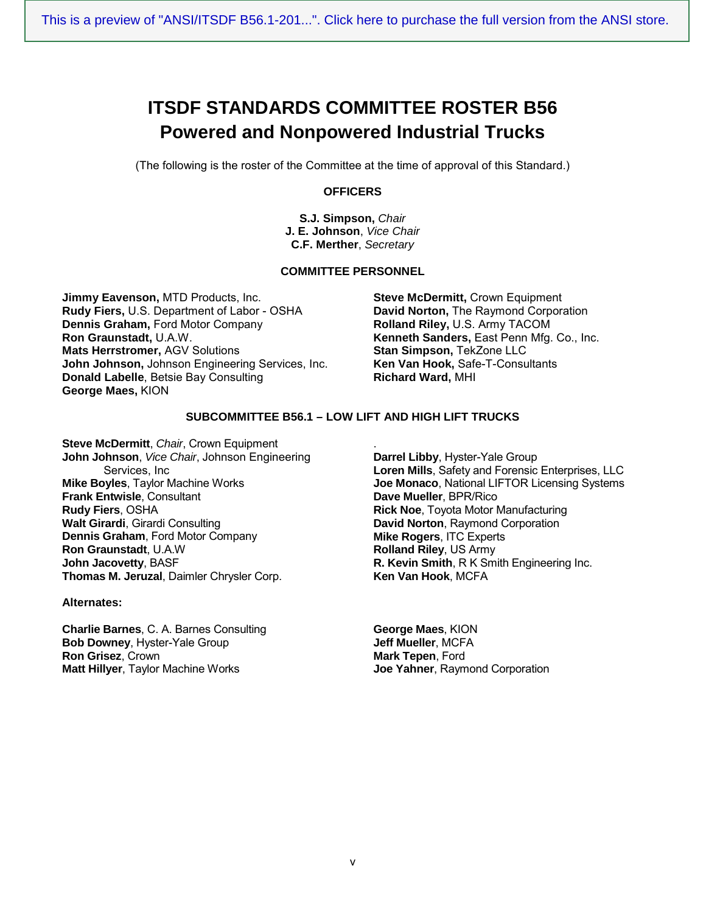# **ITSDF STANDARDS COMMITTEE ROSTER B56 Powered and Nonpowered Industrial Trucks**

(The following is the roster of the Committee at the time of approval of this Standard.)

#### **OFFICERS**

**S.J. Simpson,** *Chair* **J. E. Johnson**, *Vice Chair* **C.F. Merther**, *Secretary*

#### **COMMITTEE PERSONNEL**

**Jimmy Eavenson,** MTD Products, Inc. **Rudy Fiers,** U.S. Department of Labor - OSHA **Dennis Graham,** Ford Motor Company **Ron Graunstadt,** U.A.W. **Mats Herrstromer,** AGV Solutions **John Johnson,** Johnson Engineering Services, Inc. **Donald Labelle**, Betsie Bay Consulting **George Maes,** KION

**Steve McDermitt,** Crown Equipment **David Norton,** The Raymond Corporation **Rolland Riley,** U.S. Army TACOM **Kenneth Sanders,** East Penn Mfg. Co., Inc. **Stan Simpson,** TekZone LLC **Ken Van Hook,** Safe-T-Consultants **Richard Ward,** MHI

#### **SUBCOMMITTEE B56.1 – LOW LIFT AND HIGH LIFT TRUCKS**

**Steve McDermitt**, *Chair*, Crown Equipment **John Johnson**, *Vice Chair*, Johnson Engineering Services, Inc **Mike Boyles**, Taylor Machine Works **Frank Entwisle**, Consultant **Rudy Fiers**, OSHA **Walt Girardi**, Girardi Consulting **Dennis Graham**, Ford Motor Company **Ron Graunstadt**, U.A.W **John Jacovetty**, BASF **Thomas M. Jeruzal**, Daimler Chrysler Corp.

#### **Alternates:**

**Charlie Barnes**, C. A. Barnes Consulting **Bob Downey**, Hyster-Yale Group **Ron Grisez**, Crown **Matt Hillyer**, Taylor Machine Works

. **Darrel Libby**, Hyster-Yale Group **Loren Mills**, Safety and Forensic Enterprises, LLC **Joe Monaco**, National LIFTOR Licensing Systems **Dave Mueller**, BPR/Rico **Rick Noe**, Toyota Motor Manufacturing **David Norton**, Raymond Corporation **Mike Rogers**, ITC Experts **Rolland Riley**, US Army **R. Kevin Smith**, R K Smith Engineering Inc. **Ken Van Hook**, MCFA

**George Maes**, KION **Jeff Mueller**, MCFA **Mark Tepen**, Ford **Joe Yahner**, Raymond Corporation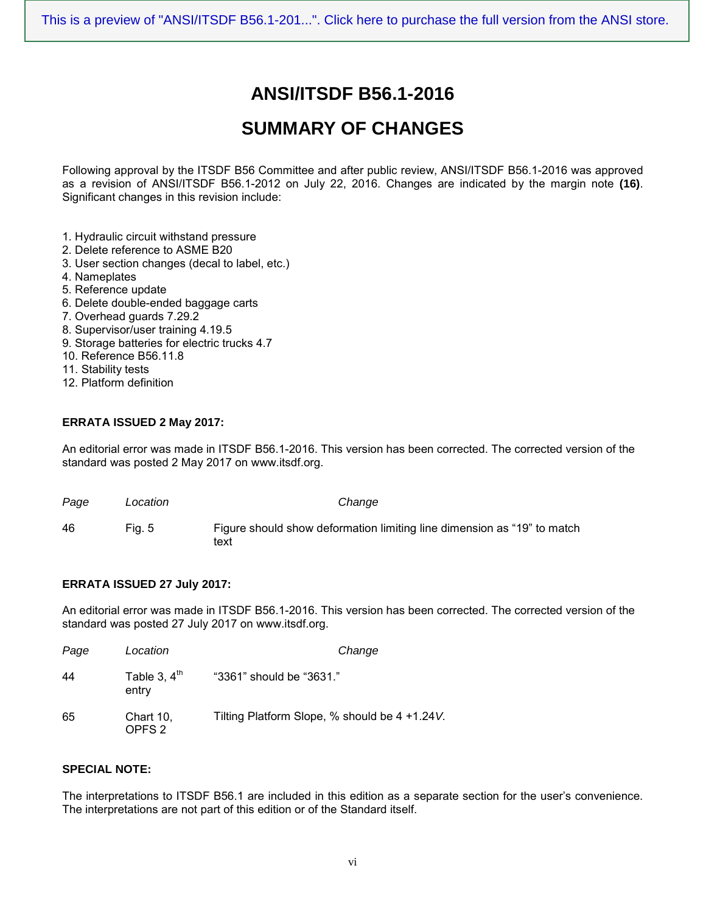# **ANSI/ITSDF B56.1-2016**

# **SUMMARY OF CHANGES**

Following approval by the ITSDF B56 Committee and after public review, ANSI/ITSDF B56.1-2016 was approved as a revision of ANSI/ITSDF B56.1-2012 on July 22, 2016. Changes are indicated by the margin note **(16)**. Significant changes in this revision include:

- 1. Hydraulic circuit withstand pressure
- 2. Delete reference to ASME B20
- 3. User section changes (decal to label, etc.)
- 4. Nameplates
- 5. Reference update
- 6. Delete double-ended baggage carts
- 7. Overhead guards 7.29.2
- 8. Supervisor/user training 4.19.5
- 9. Storage batteries for electric trucks 4.7
- 10. Reference B56.11.8
- 11. Stability tests
- 12. Platform definition

#### **ERRATA ISSUED 2 May 2017:**

An editorial error was made in ITSDF B56.1-2016. This version has been corrected. The corrected version of the standard was posted 2 May 2017 on www.itsdf.org.

| Page | Location | Change                                                                          |
|------|----------|---------------------------------------------------------------------------------|
| 46   | Fia. 5   | Figure should show deformation limiting line dimension as "19" to match<br>text |

#### **ERRATA ISSUED 27 July 2017:**

An editorial error was made in ITSDF B56.1-2016. This version has been corrected. The corrected version of the standard was posted 27 July 2017 on www.itsdf.org.

| Page | Location                       | Change                                         |
|------|--------------------------------|------------------------------------------------|
| 44   | Table 3, $4th$<br>entry        | "3361" should be "3631."                       |
| 65   | Chart 10,<br>OPFS <sub>2</sub> | Tilting Platform Slope, % should be 4 +1.24 V. |

#### **SPECIAL NOTE:**

The interpretations to ITSDF B56.1 are included in this edition as a separate section for the user's convenience. The interpretations are not part of this edition or of the Standard itself.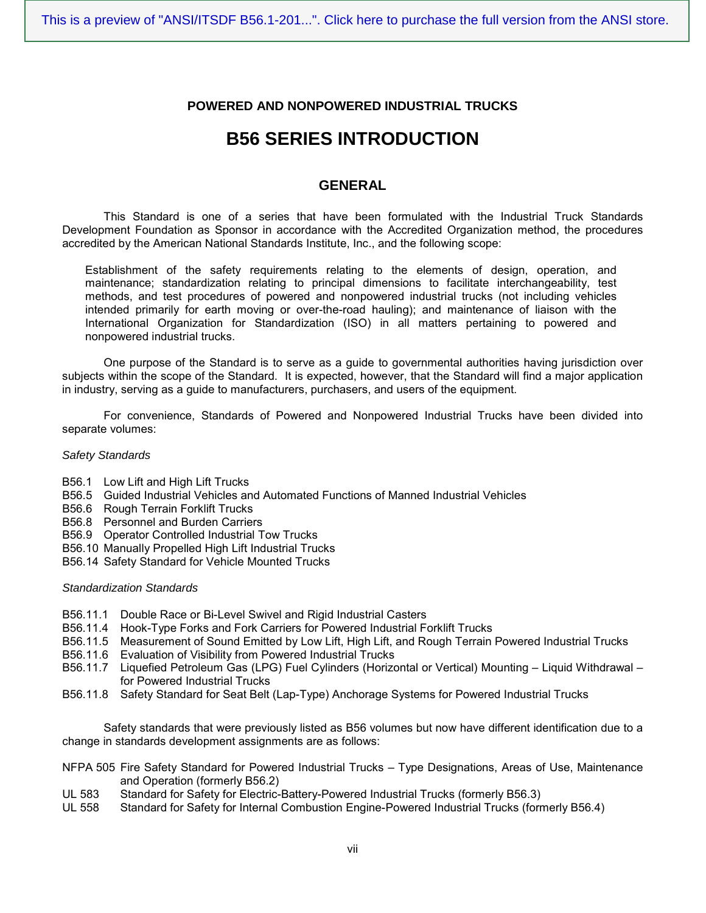#### **POWERED AND NONPOWERED INDUSTRIAL TRUCKS**

## **B56 SERIES INTRODUCTION**

#### **GENERAL**

This Standard is one of a series that have been formulated with the Industrial Truck Standards Development Foundation as Sponsor in accordance with the Accredited Organization method, the procedures accredited by the American National Standards Institute, Inc., and the following scope:

Establishment of the safety requirements relating to the elements of design, operation, and maintenance; standardization relating to principal dimensions to facilitate interchangeability, test methods, and test procedures of powered and nonpowered industrial trucks (not including vehicles intended primarily for earth moving or over-the-road hauling); and maintenance of liaison with the International Organization for Standardization (ISO) in all matters pertaining to powered and nonpowered industrial trucks.

One purpose of the Standard is to serve as a guide to governmental authorities having jurisdiction over subjects within the scope of the Standard. It is expected, however, that the Standard will find a major application in industry, serving as a guide to manufacturers, purchasers, and users of the equipment.

For convenience, Standards of Powered and Nonpowered Industrial Trucks have been divided into separate volumes:

#### *Safety Standards*

- B56.1 Low Lift and High Lift Trucks
- B56.5 Guided Industrial Vehicles and Automated Functions of Manned Industrial Vehicles
- B56.6 Rough Terrain Forklift Trucks
- B56.8 Personnel and Burden Carriers
- B56.9 Operator Controlled Industrial Tow Trucks
- B56.10 Manually Propelled High Lift Industrial Trucks
- B56.14 Safety Standard for Vehicle Mounted Trucks

#### *Standardization Standards*

- B56.11.1 Double Race or Bi-Level Swivel and Rigid Industrial Casters
- B56.11.4 Hook-Type Forks and Fork Carriers for Powered Industrial Forklift Trucks
- B56.11.5 Measurement of Sound Emitted by Low Lift, High Lift, and Rough Terrain Powered Industrial Trucks
- B56.11.6 Evaluation of Visibility from Powered Industrial Trucks
- B56.11.7 Liquefied Petroleum Gas (LPG) Fuel Cylinders (Horizontal or Vertical) Mounting Liquid Withdrawal for Powered Industrial Trucks
- B56.11.8 Safety Standard for Seat Belt (Lap-Type) Anchorage Systems for Powered Industrial Trucks

Safety standards that were previously listed as B56 volumes but now have different identification due to a change in standards development assignments are as follows:

- NFPA 505 Fire Safety Standard for Powered Industrial Trucks Type Designations, Areas of Use, Maintenance and Operation (formerly B56.2)
- UL 583 Standard for Safety for Electric-Battery-Powered Industrial Trucks (formerly B56.3)<br>UL 558 Standard for Safety for Internal Combustion Engine-Powered Industrial Trucks (forr
- Standard for Safety for Internal Combustion Engine-Powered Industrial Trucks (formerly B56.4)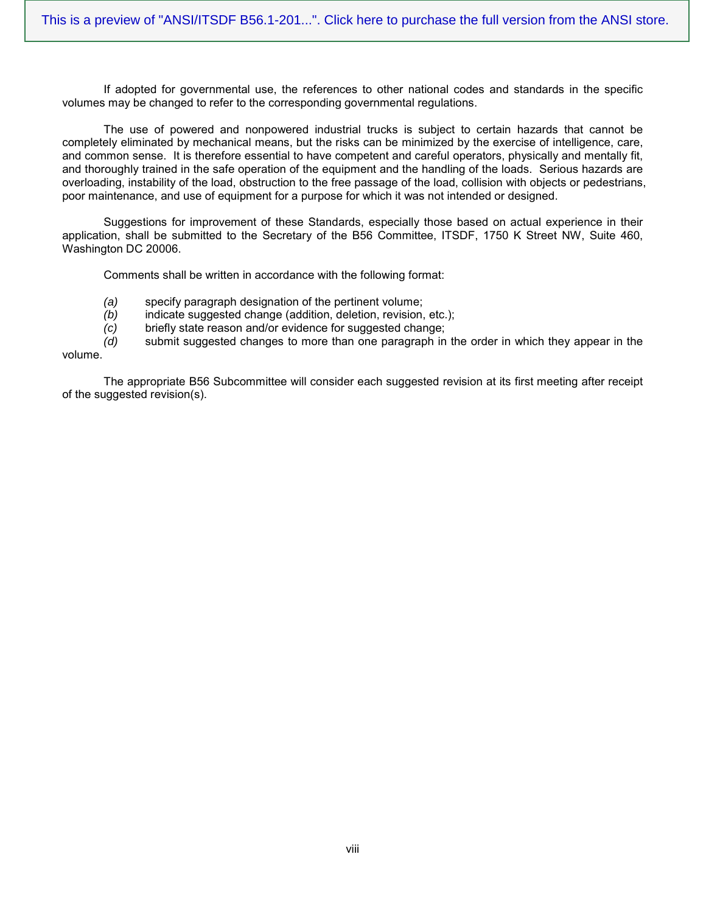If adopted for governmental use, the references to other national codes and standards in the specific volumes may be changed to refer to the corresponding governmental regulations.

The use of powered and nonpowered industrial trucks is subject to certain hazards that cannot be completely eliminated by mechanical means, but the risks can be minimized by the exercise of intelligence, care, and common sense. It is therefore essential to have competent and careful operators, physically and mentally fit, and thoroughly trained in the safe operation of the equipment and the handling of the loads. Serious hazards are overloading, instability of the load, obstruction to the free passage of the load, collision with objects or pedestrians, poor maintenance, and use of equipment for a purpose for which it was not intended or designed.

Suggestions for improvement of these Standards, especially those based on actual experience in their application, shall be submitted to the Secretary of the B56 Committee, ITSDF, 1750 K Street NW, Suite 460, Washington DC 20006.

Comments shall be written in accordance with the following format:

- *(a)* specify paragraph designation of the pertinent volume;
- *(b)* indicate suggested change (addition, deletion, revision, etc.);
- *(c)* briefly state reason and/or evidence for suggested change;

*(d)* submit suggested changes to more than one paragraph in the order in which they appear in the volume.

The appropriate B56 Subcommittee will consider each suggested revision at its first meeting after receipt of the suggested revision(s).